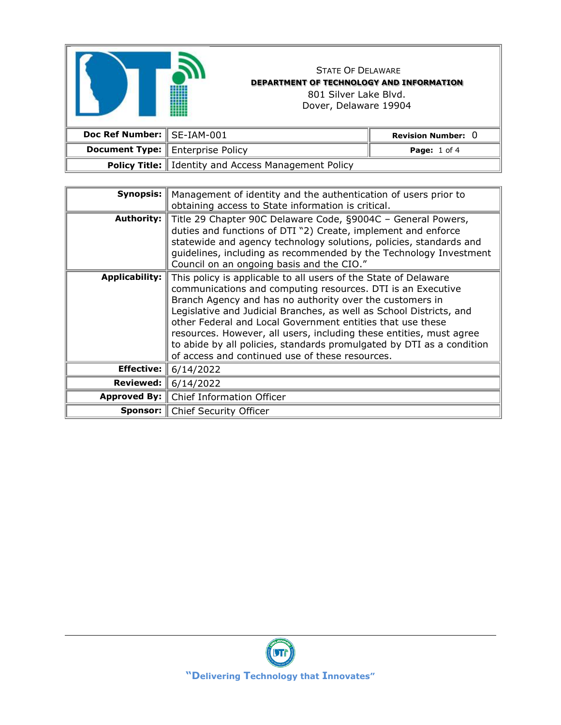

## STATE OF DELAWARE **DEPARTMENT OF TECHNOLOGY AND INFORMATION** 801 Silver Lake Blvd. Dover, Delaware 19904

| Doc Ref Number: SE-IAM-001 |                                                              | Revision Number: $0$    |
|----------------------------|--------------------------------------------------------------|-------------------------|
|                            | <b>Document Type:</b> Enterprise Policy                      | <b>Page:</b> $1$ of $4$ |
|                            | <b>Policy Title:</b> I Identity and Access Management Policy |                         |

| Synopsis:             | Management of identity and the authentication of users prior to<br>obtaining access to State information is critical.                                                                                                                                                                                                                                                                                                                                                                                                              |  |
|-----------------------|------------------------------------------------------------------------------------------------------------------------------------------------------------------------------------------------------------------------------------------------------------------------------------------------------------------------------------------------------------------------------------------------------------------------------------------------------------------------------------------------------------------------------------|--|
| <b>Authority:</b>     | Title 29 Chapter 90C Delaware Code, §9004C - General Powers,<br>duties and functions of DTI "2) Create, implement and enforce<br>statewide and agency technology solutions, policies, standards and<br>guidelines, including as recommended by the Technology Investment<br>Council on an ongoing basis and the CIO."                                                                                                                                                                                                              |  |
| <b>Applicability:</b> | This policy is applicable to all users of the State of Delaware<br>communications and computing resources. DTI is an Executive<br>Branch Agency and has no authority over the customers in<br>Legislative and Judicial Branches, as well as School Districts, and<br>other Federal and Local Government entities that use these<br>resources. However, all users, including these entities, must agree<br>to abide by all policies, standards promulgated by DTI as a condition<br>of access and continued use of these resources. |  |
| <b>Effective:</b>     | 6/14/2022                                                                                                                                                                                                                                                                                                                                                                                                                                                                                                                          |  |
| Reviewed:             | 6/14/2022                                                                                                                                                                                                                                                                                                                                                                                                                                                                                                                          |  |
| Approved By:          | Chief Information Officer                                                                                                                                                                                                                                                                                                                                                                                                                                                                                                          |  |
|                       | <b>Sponsor:</b>   Chief Security Officer                                                                                                                                                                                                                                                                                                                                                                                                                                                                                           |  |

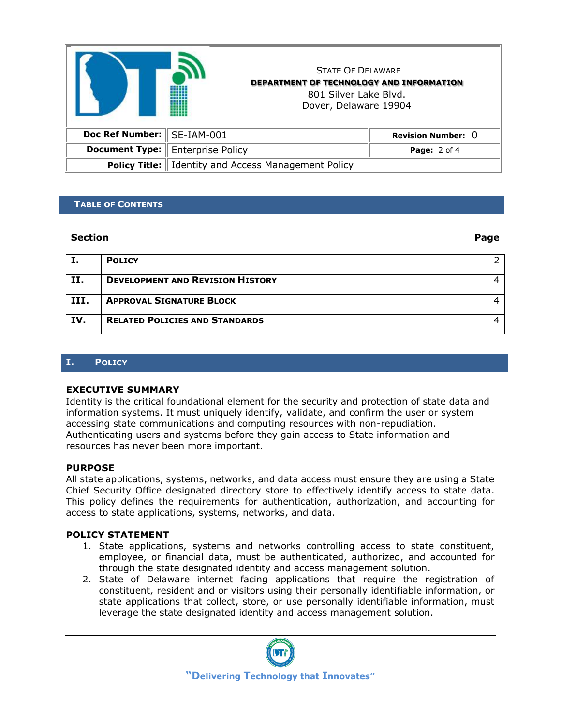

## **TABLE OF CONTENTS**

#### **Section Page**

|      | <b>POLICY</b>                           |  |
|------|-----------------------------------------|--|
| II.  | <b>DEVELOPMENT AND REVISION HISTORY</b> |  |
| III. | <b>APPROVAL SIGNATURE BLOCK</b>         |  |
| IV.  | <b>RELATED POLICIES AND STANDARDS</b>   |  |

## **I. POLICY**

#### **EXECUTIVE SUMMARY**

Identity is the critical foundational element for the security and protection of state data and information systems. It must uniquely identify, validate, and confirm the user or system accessing state communications and computing resources with non-repudiation. Authenticating users and systems before they gain access to State information and resources has never been more important.

#### **PURPOSE**

All state applications, systems, networks, and data access must ensure they are using a State Chief Security Office designated directory store to effectively identify access to state data. This policy defines the requirements for authentication, authorization, and accounting for access to state applications, systems, networks, and data.

## **POLICY STATEMENT**

- 1. State applications, systems and networks controlling access to state constituent, employee, or financial data, must be authenticated, authorized, and accounted for through the state designated identity and access management solution.
- 2. State of Delaware internet facing applications that require the registration of constituent, resident and or visitors using their personally identifiable information, or state applications that collect, store, or use personally identifiable information, must leverage the state designated identity and access management solution.

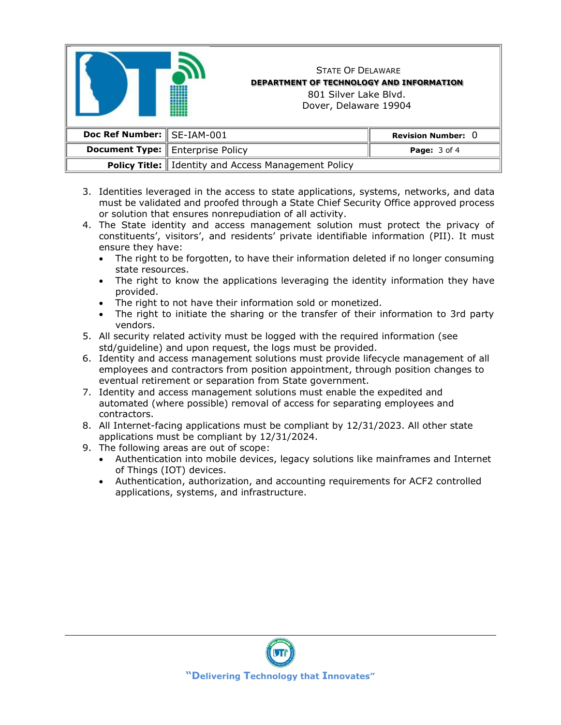

- 3. Identities leveraged in the access to state applications, systems, networks, and data must be validated and proofed through a State Chief Security Office approved process or solution that ensures nonrepudiation of all activity.
- 4. The State identity and access management solution must protect the privacy of constituents', visitors', and residents' private identifiable information (PII). It must ensure they have:
	- The right to be forgotten, to have their information deleted if no longer consuming state resources.
	- The right to know the applications leveraging the identity information they have provided.
	- The right to not have their information sold or monetized.
	- The right to initiate the sharing or the transfer of their information to 3rd party vendors.
- 5. All security related activity must be logged with the required information (see std/guideline) and upon request, the logs must be provided.
- 6. Identity and access management solutions must provide lifecycle management of all employees and contractors from position appointment, through position changes to eventual retirement or separation from State government.
- 7. Identity and access management solutions must enable the expedited and automated (where possible) removal of access for separating employees and contractors.
- 8. All Internet-facing applications must be compliant by 12/31/2023. All other state applications must be compliant by 12/31/2024.
- 9. The following areas are out of scope:
	- Authentication into mobile devices, legacy solutions like mainframes and Internet of Things (IOT) devices.
	- Authentication, authorization, and accounting requirements for ACF2 controlled applications, systems, and infrastructure.